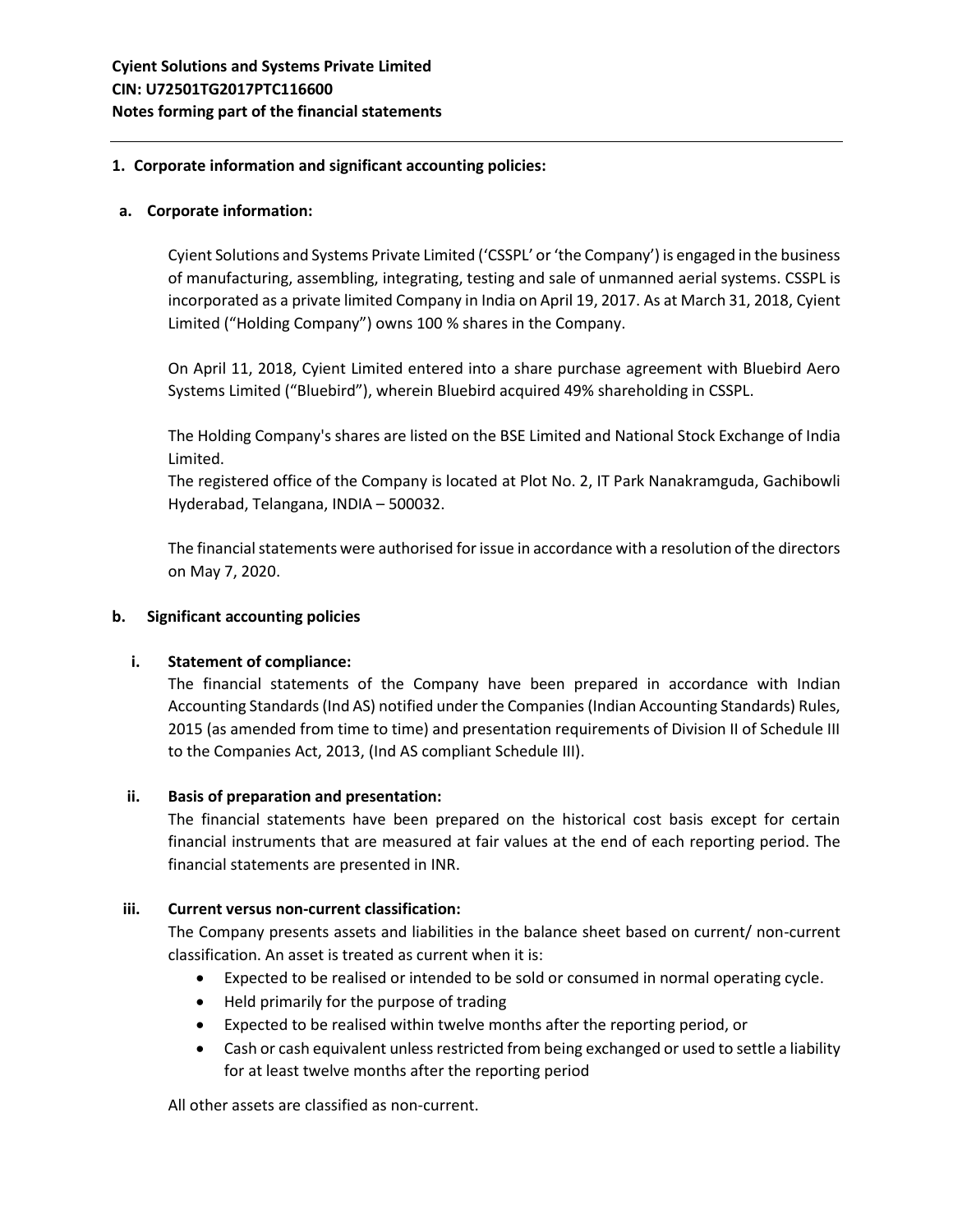### **1. Corporate information and significant accounting policies:**

### **a. Corporate information:**

Cyient Solutions and Systems Private Limited ('CSSPL' or 'the Company') is engaged in the business of manufacturing, assembling, integrating, testing and sale of unmanned aerial systems. CSSPL is incorporated as a private limited Company in India on April 19, 2017. As at March 31, 2018, Cyient Limited ("Holding Company") owns 100 % shares in the Company.

On April 11, 2018, Cyient Limited entered into a share purchase agreement with Bluebird Aero Systems Limited ("Bluebird"), wherein Bluebird acquired 49% shareholding in CSSPL.

The Holding Company's shares are listed on the BSE Limited and National Stock Exchange of India Limited.

The registered office of the Company is located at Plot No. 2, IT Park Nanakramguda, Gachibowli Hyderabad, Telangana, INDIA – 500032.

The financial statements were authorised for issue in accordance with a resolution of the directors on May 7, 2020.

#### **b. Significant accounting policies**

## **i. Statement of compliance:**

The financial statements of the Company have been prepared in accordance with Indian Accounting Standards (Ind AS) notified under the Companies (Indian Accounting Standards) Rules, 2015 (as amended from time to time) and presentation requirements of Division II of Schedule III to the Companies Act, 2013, (Ind AS compliant Schedule III).

#### **ii. Basis of preparation and presentation:**

The financial statements have been prepared on the historical cost basis except for certain financial instruments that are measured at fair values at the end of each reporting period. The financial statements are presented in INR.

#### **iii. Current versus non-current classification:**

The Company presents assets and liabilities in the balance sheet based on current/ non-current classification. An asset is treated as current when it is:

- Expected to be realised or intended to be sold or consumed in normal operating cycle.
- Held primarily for the purpose of trading
- Expected to be realised within twelve months after the reporting period, or
- Cash or cash equivalent unless restricted from being exchanged or used to settle a liability for at least twelve months after the reporting period

All other assets are classified as non-current.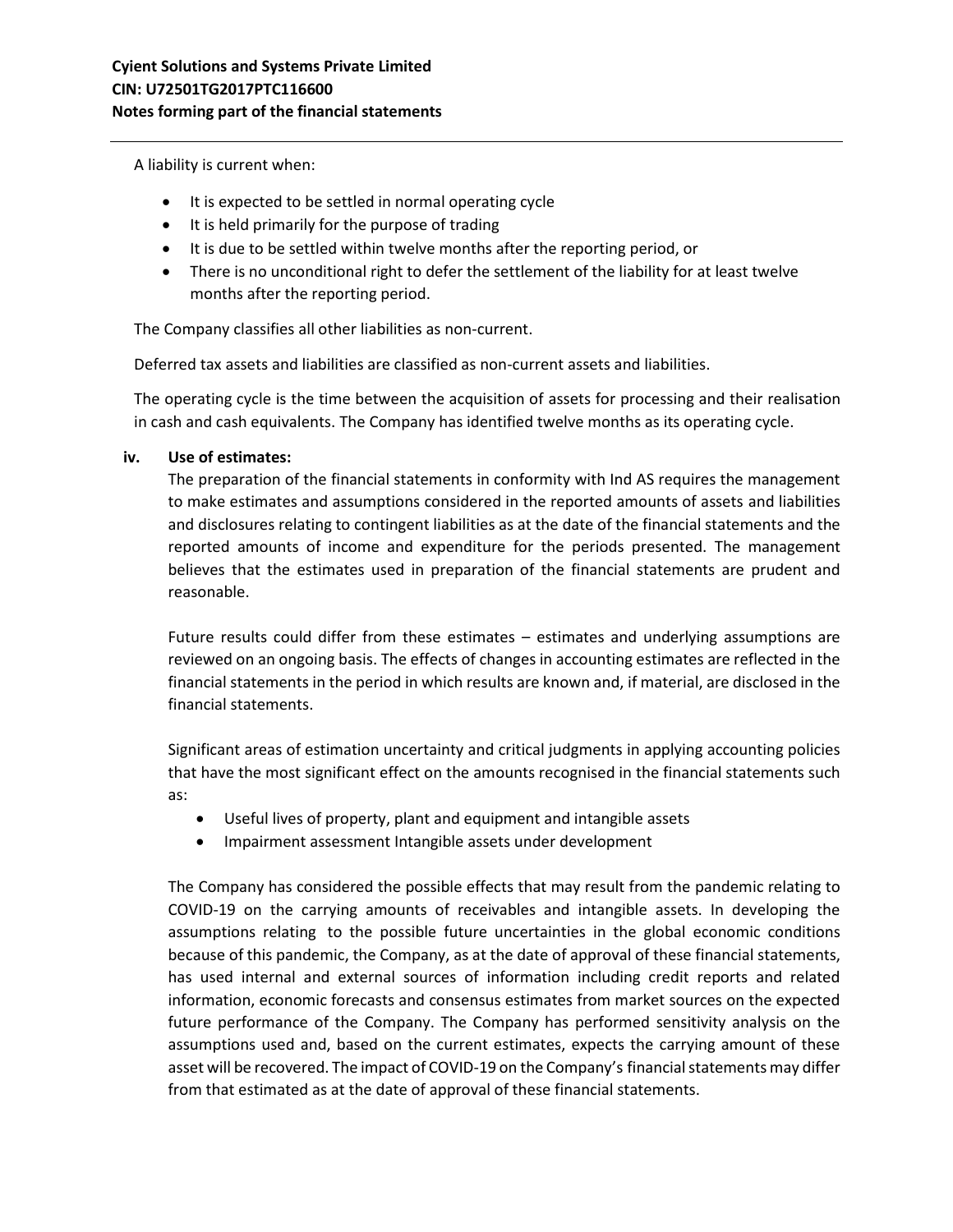A liability is current when:

- It is expected to be settled in normal operating cycle
- It is held primarily for the purpose of trading
- It is due to be settled within twelve months after the reporting period, or
- There is no unconditional right to defer the settlement of the liability for at least twelve months after the reporting period.

The Company classifies all other liabilities as non-current.

Deferred tax assets and liabilities are classified as non-current assets and liabilities.

The operating cycle is the time between the acquisition of assets for processing and their realisation in cash and cash equivalents. The Company has identified twelve months as its operating cycle.

## **iv. Use of estimates:**

The preparation of the financial statements in conformity with Ind AS requires the management to make estimates and assumptions considered in the reported amounts of assets and liabilities and disclosures relating to contingent liabilities as at the date of the financial statements and the reported amounts of income and expenditure for the periods presented. The management believes that the estimates used in preparation of the financial statements are prudent and reasonable.

Future results could differ from these estimates – estimates and underlying assumptions are reviewed on an ongoing basis. The effects of changes in accounting estimates are reflected in the financial statements in the period in which results are known and, if material, are disclosed in the financial statements.

Significant areas of estimation uncertainty and critical judgments in applying accounting policies that have the most significant effect on the amounts recognised in the financial statements such as:

- Useful lives of property, plant and equipment and intangible assets
- Impairment assessment Intangible assets under development

The Company has considered the possible effects that may result from the pandemic relating to COVID-19 on the carrying amounts of receivables and intangible assets. In developing the assumptions relating to the possible future uncertainties in the global economic conditions because of this pandemic, the Company, as at the date of approval of these financial statements, has used internal and external sources of information including credit reports and related information, economic forecasts and consensus estimates from market sources on the expected future performance of the Company. The Company has performed sensitivity analysis on the assumptions used and, based on the current estimates, expects the carrying amount of these asset will be recovered. The impact of COVID-19 on the Company's financial statements may differ from that estimated as at the date of approval of these financial statements.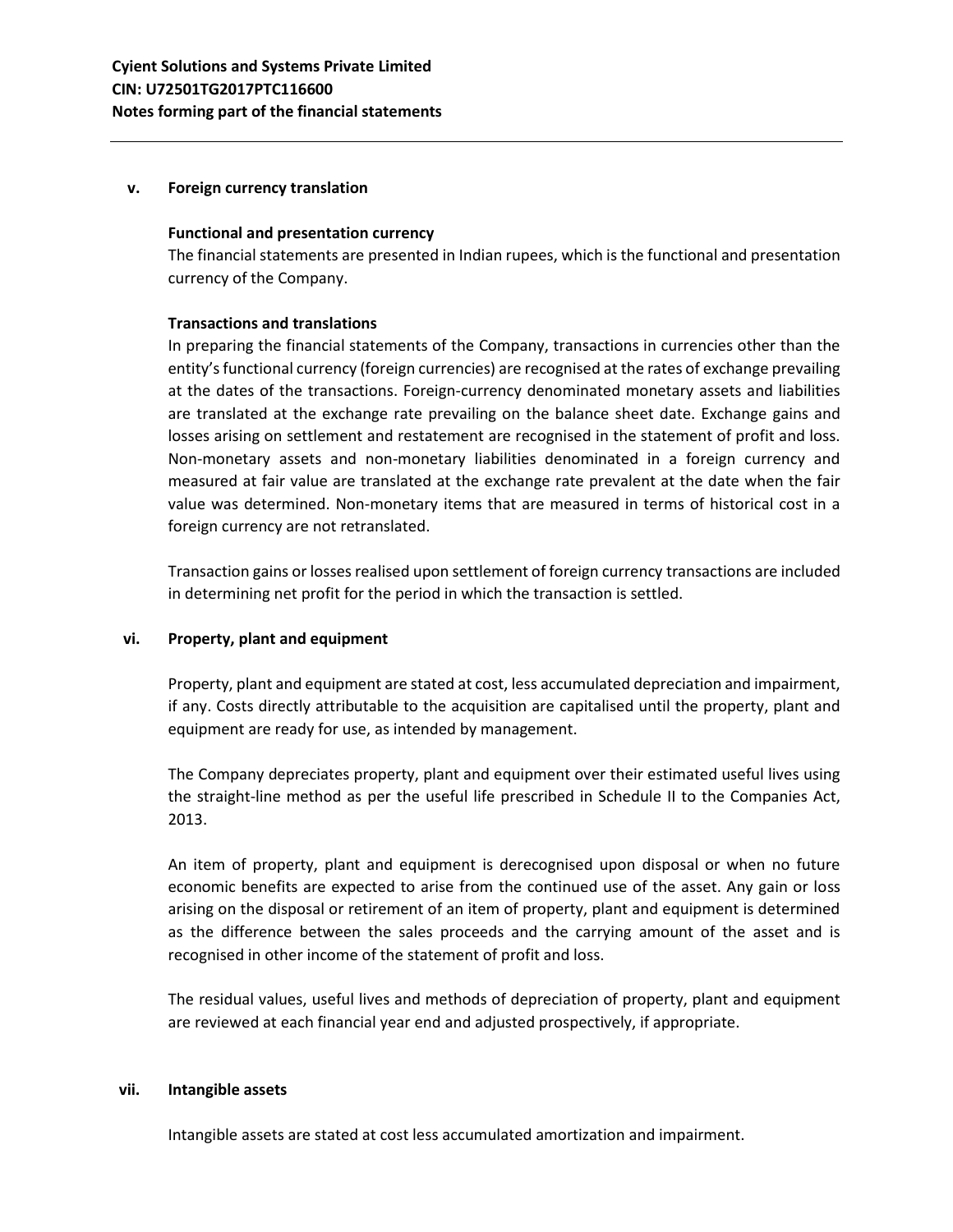#### **v. Foreign currency translation**

#### **Functional and presentation currency**

The financial statements are presented in Indian rupees, which is the functional and presentation currency of the Company.

## **Transactions and translations**

In preparing the financial statements of the Company, transactions in currencies other than the entity's functional currency (foreign currencies) are recognised at the rates of exchange prevailing at the dates of the transactions. Foreign-currency denominated monetary assets and liabilities are translated at the exchange rate prevailing on the balance sheet date. Exchange gains and losses arising on settlement and restatement are recognised in the statement of profit and loss. Non-monetary assets and non-monetary liabilities denominated in a foreign currency and measured at fair value are translated at the exchange rate prevalent at the date when the fair value was determined. Non-monetary items that are measured in terms of historical cost in a foreign currency are not retranslated.

Transaction gains or losses realised upon settlement of foreign currency transactions are included in determining net profit for the period in which the transaction is settled.

## **vi. Property, plant and equipment**

Property, plant and equipment are stated at cost, less accumulated depreciation and impairment, if any. Costs directly attributable to the acquisition are capitalised until the property, plant and equipment are ready for use, as intended by management.

The Company depreciates property, plant and equipment over their estimated useful lives using the straight-line method as per the useful life prescribed in Schedule II to the Companies Act, 2013.

An item of property, plant and equipment is derecognised upon disposal or when no future economic benefits are expected to arise from the continued use of the asset. Any gain or loss arising on the disposal or retirement of an item of property, plant and equipment is determined as the difference between the sales proceeds and the carrying amount of the asset and is recognised in other income of the statement of profit and loss.

The residual values, useful lives and methods of depreciation of property, plant and equipment are reviewed at each financial year end and adjusted prospectively, if appropriate.

#### **vii. Intangible assets**

Intangible assets are stated at cost less accumulated amortization and impairment.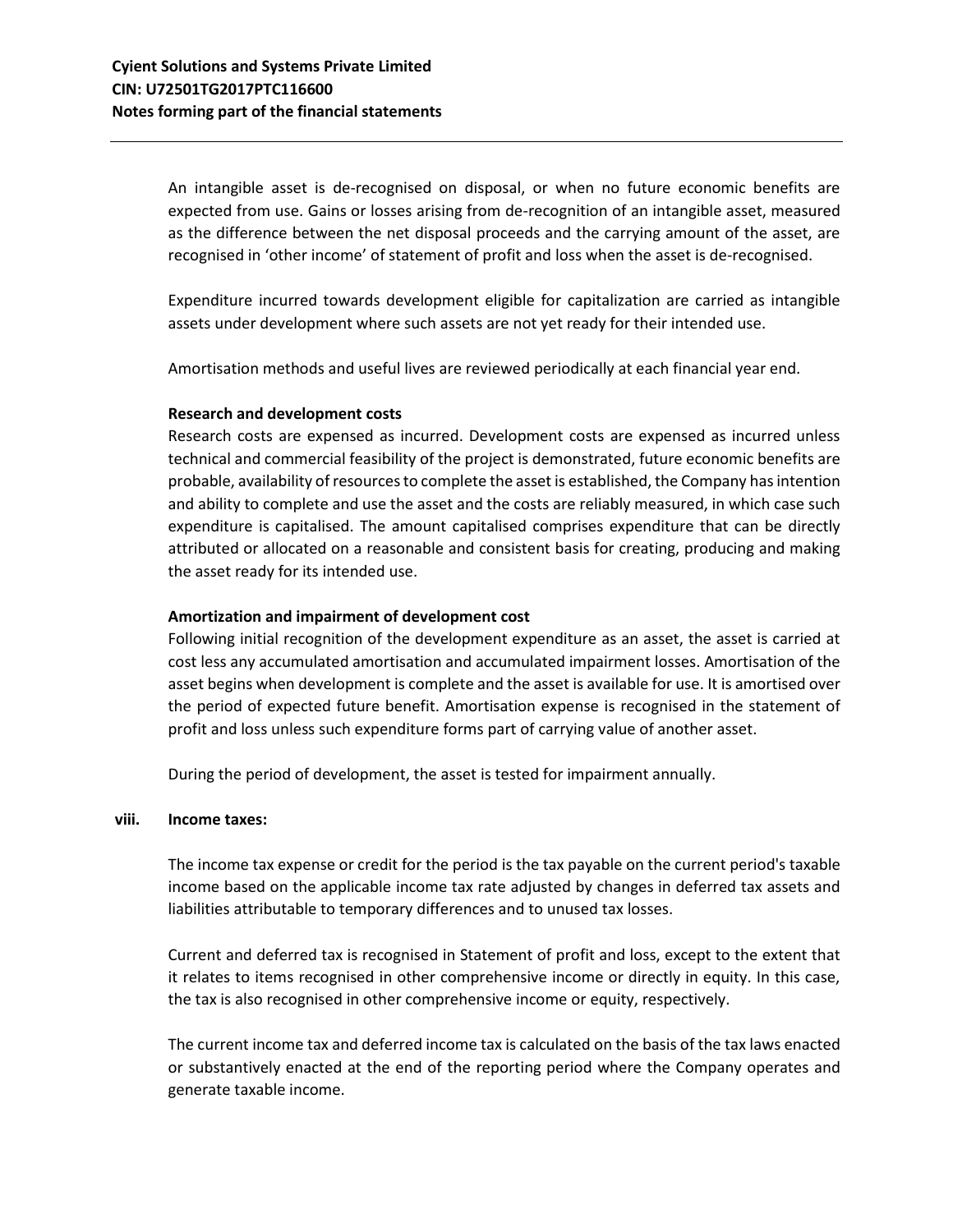An intangible asset is de-recognised on disposal, or when no future economic benefits are expected from use. Gains or losses arising from de-recognition of an intangible asset, measured as the difference between the net disposal proceeds and the carrying amount of the asset, are recognised in 'other income' of statement of profit and loss when the asset is de-recognised.

Expenditure incurred towards development eligible for capitalization are carried as intangible assets under development where such assets are not yet ready for their intended use.

Amortisation methods and useful lives are reviewed periodically at each financial year end.

### **Research and development costs**

Research costs are expensed as incurred. Development costs are expensed as incurred unless technical and commercial feasibility of the project is demonstrated, future economic benefits are probable, availability of resources to complete the asset is established, the Company has intention and ability to complete and use the asset and the costs are reliably measured, in which case such expenditure is capitalised. The amount capitalised comprises expenditure that can be directly attributed or allocated on a reasonable and consistent basis for creating, producing and making the asset ready for its intended use.

### **Amortization and impairment of development cost**

Following initial recognition of the development expenditure as an asset, the asset is carried at cost less any accumulated amortisation and accumulated impairment losses. Amortisation of the asset begins when development is complete and the asset is available for use. It is amortised over the period of expected future benefit. Amortisation expense is recognised in the statement of profit and loss unless such expenditure forms part of carrying value of another asset.

During the period of development, the asset is tested for impairment annually.

#### **viii. Income taxes:**

The income tax expense or credit for the period is the tax payable on the current period's taxable income based on the applicable income tax rate adjusted by changes in deferred tax assets and liabilities attributable to temporary differences and to unused tax losses.

Current and deferred tax is recognised in Statement of profit and loss, except to the extent that it relates to items recognised in other comprehensive income or directly in equity. In this case, the tax is also recognised in other comprehensive income or equity, respectively.

The current income tax and deferred income tax is calculated on the basis of the tax laws enacted or substantively enacted at the end of the reporting period where the Company operates and generate taxable income.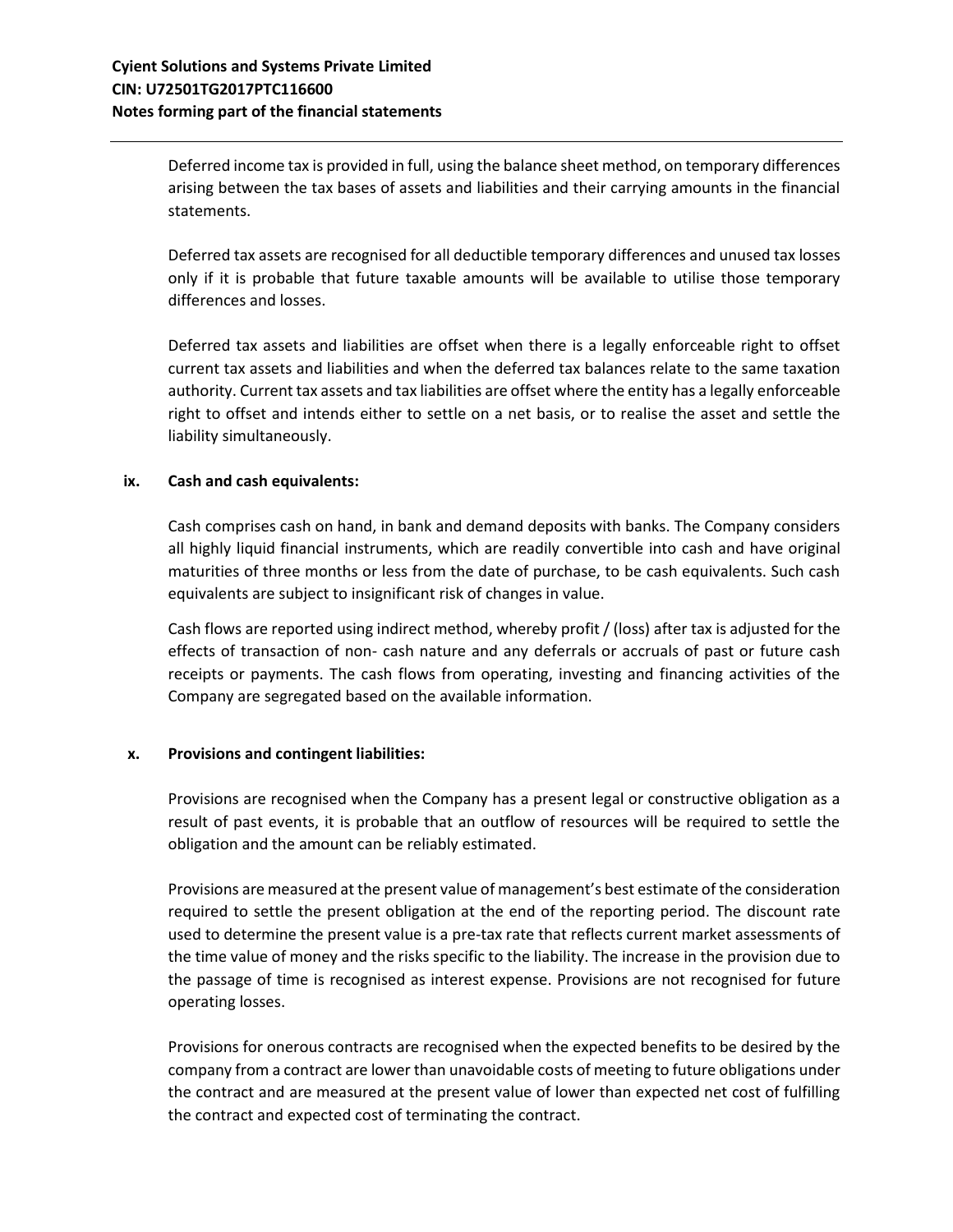Deferred income tax is provided in full, using the balance sheet method, on temporary differences arising between the tax bases of assets and liabilities and their carrying amounts in the financial statements.

Deferred tax assets are recognised for all deductible temporary differences and unused tax losses only if it is probable that future taxable amounts will be available to utilise those temporary differences and losses.

Deferred tax assets and liabilities are offset when there is a legally enforceable right to offset current tax assets and liabilities and when the deferred tax balances relate to the same taxation authority. Current tax assets and tax liabilities are offset where the entity has a legally enforceable right to offset and intends either to settle on a net basis, or to realise the asset and settle the liability simultaneously.

## **ix. Cash and cash equivalents:**

Cash comprises cash on hand, in bank and demand deposits with banks. The Company considers all highly liquid financial instruments, which are readily convertible into cash and have original maturities of three months or less from the date of purchase, to be cash equivalents. Such cash equivalents are subject to insignificant risk of changes in value.

Cash flows are reported using indirect method, whereby profit / (loss) after tax is adjusted for the effects of transaction of non- cash nature and any deferrals or accruals of past or future cash receipts or payments. The cash flows from operating, investing and financing activities of the Company are segregated based on the available information.

#### **x. Provisions and contingent liabilities:**

Provisions are recognised when the Company has a present legal or constructive obligation as a result of past events, it is probable that an outflow of resources will be required to settle the obligation and the amount can be reliably estimated.

Provisions are measured at the present value of management's best estimate of the consideration required to settle the present obligation at the end of the reporting period. The discount rate used to determine the present value is a pre-tax rate that reflects current market assessments of the time value of money and the risks specific to the liability. The increase in the provision due to the passage of time is recognised as interest expense. Provisions are not recognised for future operating losses.

Provisions for onerous contracts are recognised when the expected benefits to be desired by the company from a contract are lower than unavoidable costs of meeting to future obligations under the contract and are measured at the present value of lower than expected net cost of fulfilling the contract and expected cost of terminating the contract.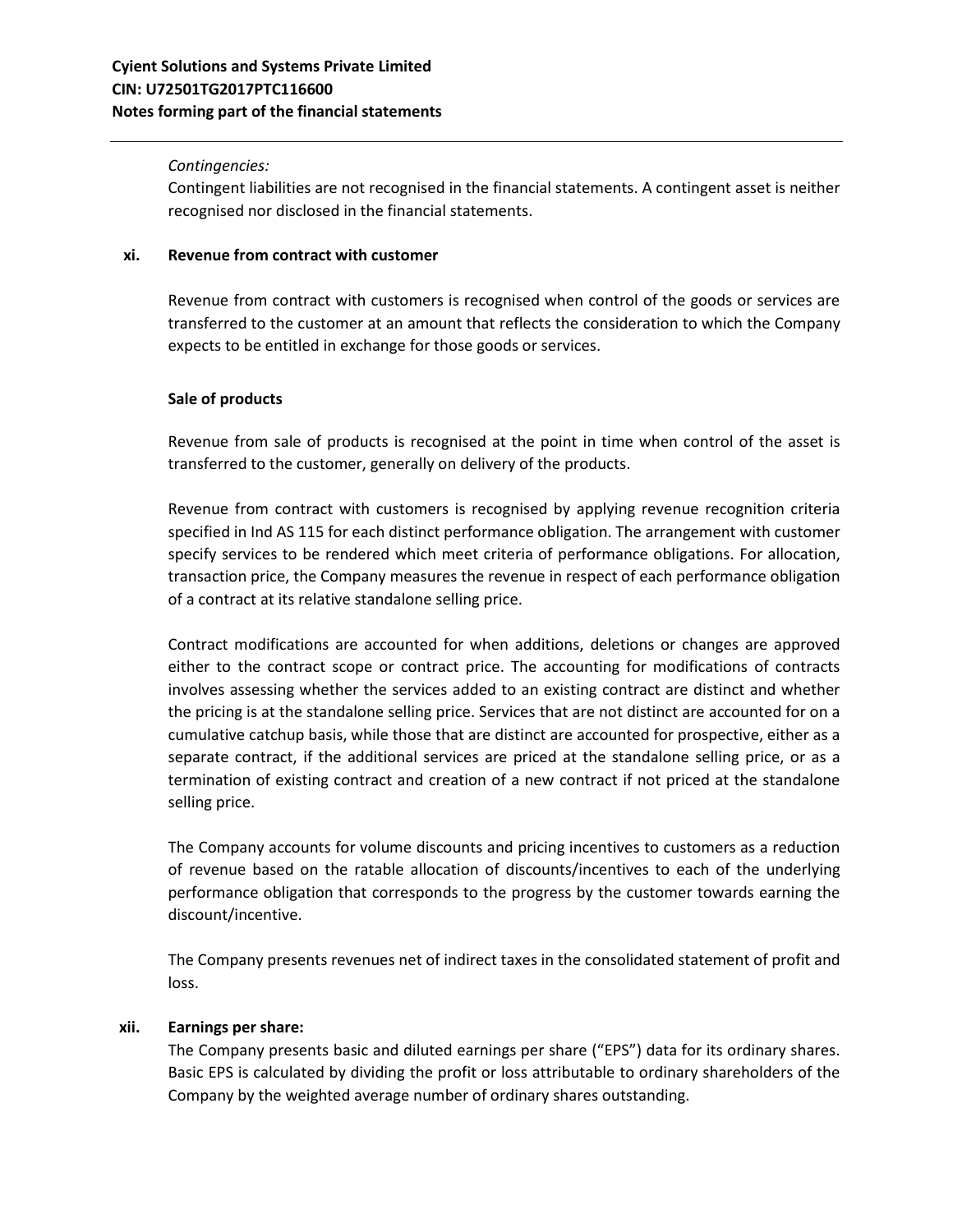### *Contingencies:*

Contingent liabilities are not recognised in the financial statements. A contingent asset is neither recognised nor disclosed in the financial statements.

## **xi. Revenue from contract with customer**

Revenue from contract with customers is recognised when control of the goods or services are transferred to the customer at an amount that reflects the consideration to which the Company expects to be entitled in exchange for those goods or services.

### **Sale of products**

Revenue from sale of products is recognised at the point in time when control of the asset is transferred to the customer, generally on delivery of the products.

Revenue from contract with customers is recognised by applying revenue recognition criteria specified in Ind AS 115 for each distinct performance obligation. The arrangement with customer specify services to be rendered which meet criteria of performance obligations. For allocation, transaction price, the Company measures the revenue in respect of each performance obligation of a contract at its relative standalone selling price.

Contract modifications are accounted for when additions, deletions or changes are approved either to the contract scope or contract price. The accounting for modifications of contracts involves assessing whether the services added to an existing contract are distinct and whether the pricing is at the standalone selling price. Services that are not distinct are accounted for on a cumulative catchup basis, while those that are distinct are accounted for prospective, either as a separate contract, if the additional services are priced at the standalone selling price, or as a termination of existing contract and creation of a new contract if not priced at the standalone selling price.

The Company accounts for volume discounts and pricing incentives to customers as a reduction of revenue based on the ratable allocation of discounts/incentives to each of the underlying performance obligation that corresponds to the progress by the customer towards earning the discount/incentive.

The Company presents revenues net of indirect taxes in the consolidated statement of profit and loss.

## **xii. Earnings per share:**

The Company presents basic and diluted earnings per share ("EPS") data for its ordinary shares. Basic EPS is calculated by dividing the profit or loss attributable to ordinary shareholders of the Company by the weighted average number of ordinary shares outstanding.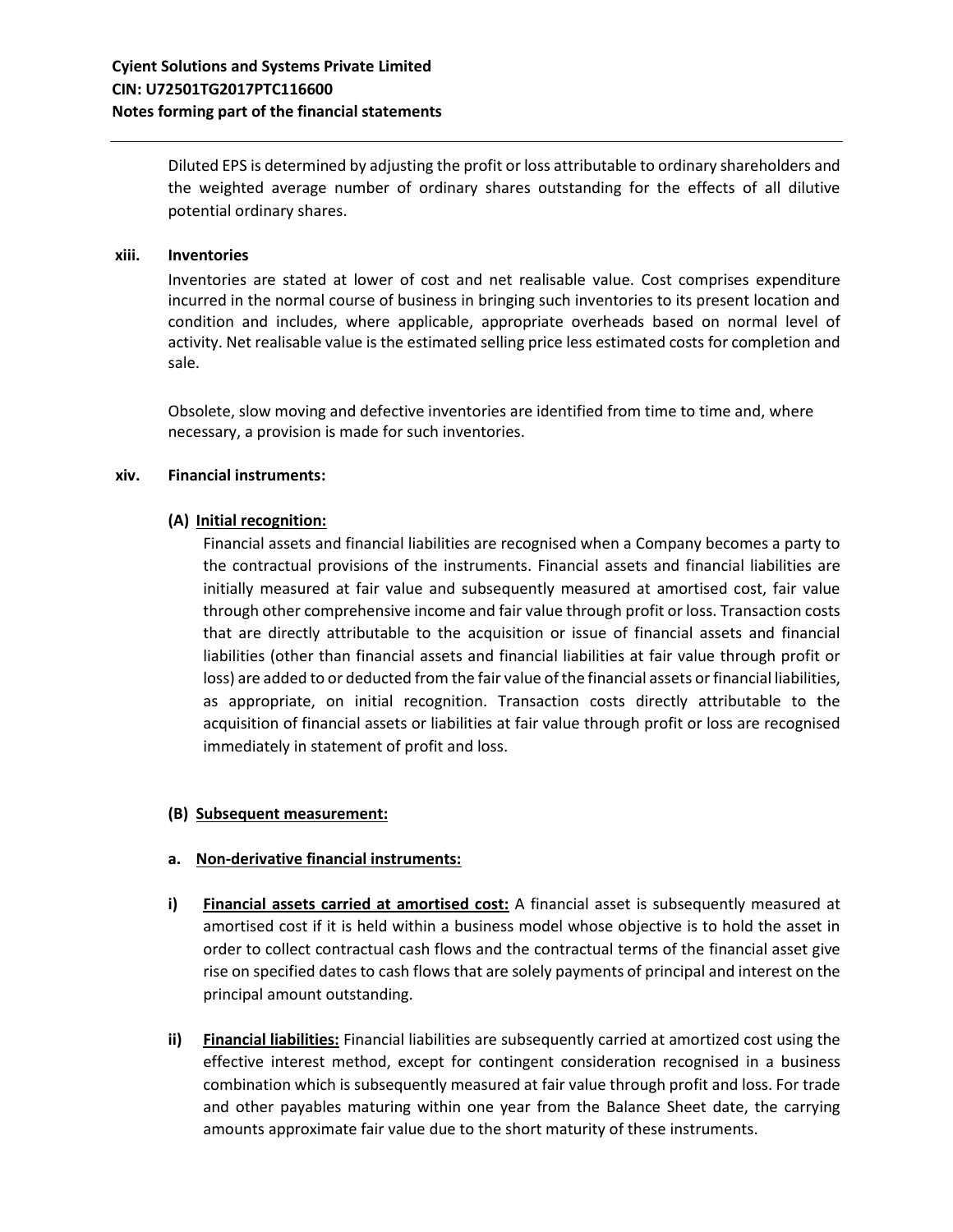Diluted EPS is determined by adjusting the profit or loss attributable to ordinary shareholders and the weighted average number of ordinary shares outstanding for the effects of all dilutive potential ordinary shares.

#### **xiii. Inventories**

Inventories are stated at lower of cost and net realisable value. Cost comprises expenditure incurred in the normal course of business in bringing such inventories to its present location and condition and includes, where applicable, appropriate overheads based on normal level of activity. Net realisable value is the estimated selling price less estimated costs for completion and sale.

Obsolete, slow moving and defective inventories are identified from time to time and, where necessary, a provision is made for such inventories.

### **xiv. Financial instruments:**

## **(A) Initial recognition:**

Financial assets and financial liabilities are recognised when a Company becomes a party to the contractual provisions of the instruments. Financial assets and financial liabilities are initially measured at fair value and subsequently measured at amortised cost, fair value through other comprehensive income and fair value through profit or loss. Transaction costs that are directly attributable to the acquisition or issue of financial assets and financial liabilities (other than financial assets and financial liabilities at fair value through profit or loss) are added to or deducted from the fair value of the financial assets or financial liabilities, as appropriate, on initial recognition. Transaction costs directly attributable to the acquisition of financial assets or liabilities at fair value through profit or loss are recognised immediately in statement of profit and loss.

## **(B) Subsequent measurement:**

## **a. Non-derivative financial instruments:**

- **i) Financial assets carried at amortised cost:** A financial asset is subsequently measured at amortised cost if it is held within a business model whose objective is to hold the asset in order to collect contractual cash flows and the contractual terms of the financial asset give rise on specified dates to cash flows that are solely payments of principal and interest on the principal amount outstanding.
- **ii) Financial liabilities:** Financial liabilities are subsequently carried at amortized cost using the effective interest method, except for contingent consideration recognised in a business combination which is subsequently measured at fair value through profit and loss. For trade and other payables maturing within one year from the Balance Sheet date, the carrying amounts approximate fair value due to the short maturity of these instruments.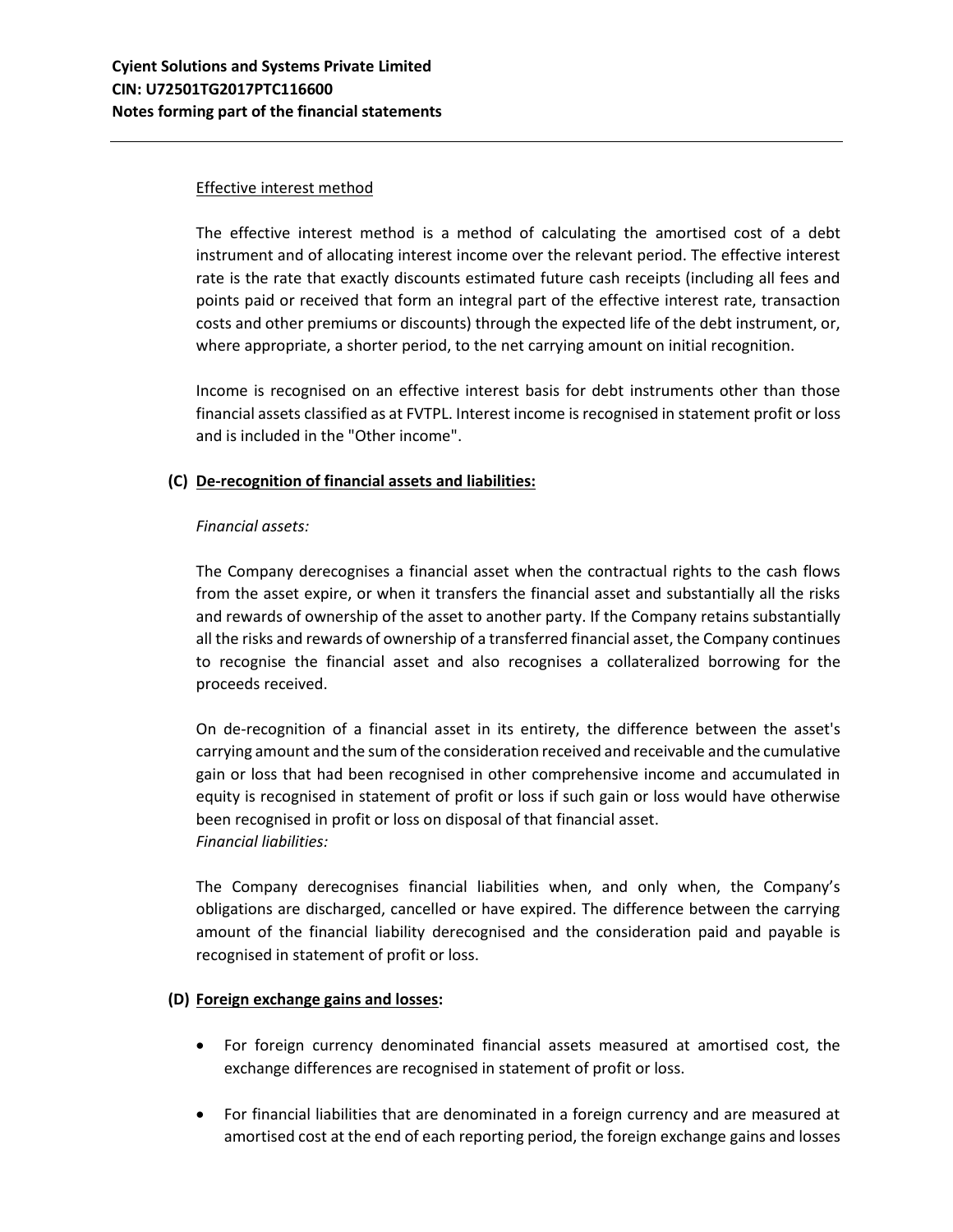# Effective interest method

The effective interest method is a method of calculating the amortised cost of a debt instrument and of allocating interest income over the relevant period. The effective interest rate is the rate that exactly discounts estimated future cash receipts (including all fees and points paid or received that form an integral part of the effective interest rate, transaction costs and other premiums or discounts) through the expected life of the debt instrument, or, where appropriate, a shorter period, to the net carrying amount on initial recognition.

Income is recognised on an effective interest basis for debt instruments other than those financial assets classified as at FVTPL. Interest income is recognised in statement profit or loss and is included in the "Other income".

# **(C) De-recognition of financial assets and liabilities:**

## *Financial assets:*

The Company derecognises a financial asset when the contractual rights to the cash flows from the asset expire, or when it transfers the financial asset and substantially all the risks and rewards of ownership of the asset to another party. If the Company retains substantially all the risks and rewards of ownership of a transferred financial asset, the Company continues to recognise the financial asset and also recognises a collateralized borrowing for the proceeds received.

On de-recognition of a financial asset in its entirety, the difference between the asset's carrying amount and the sum of the consideration received and receivable and the cumulative gain or loss that had been recognised in other comprehensive income and accumulated in equity is recognised in statement of profit or loss if such gain or loss would have otherwise been recognised in profit or loss on disposal of that financial asset. *Financial liabilities:*

The Company derecognises financial liabilities when, and only when, the Company's obligations are discharged, cancelled or have expired. The difference between the carrying amount of the financial liability derecognised and the consideration paid and payable is recognised in statement of profit or loss.

## **(D) Foreign exchange gains and losses:**

- For foreign currency denominated financial assets measured at amortised cost, the exchange differences are recognised in statement of profit or loss.
- For financial liabilities that are denominated in a foreign currency and are measured at amortised cost at the end of each reporting period, the foreign exchange gains and losses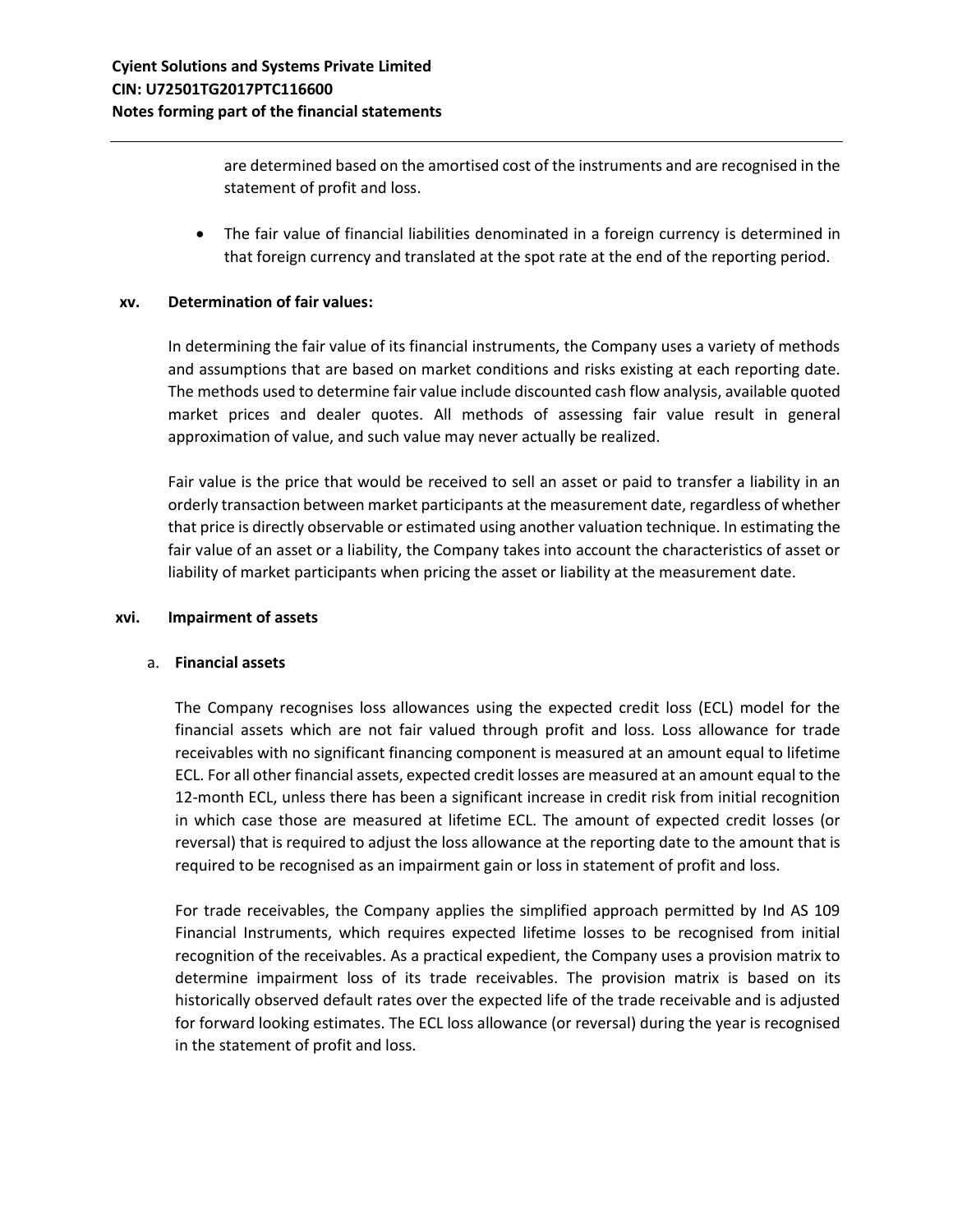are determined based on the amortised cost of the instruments and are recognised in the statement of profit and loss.

• The fair value of financial liabilities denominated in a foreign currency is determined in that foreign currency and translated at the spot rate at the end of the reporting period.

### **xv. Determination of fair values:**

In determining the fair value of its financial instruments, the Company uses a variety of methods and assumptions that are based on market conditions and risks existing at each reporting date. The methods used to determine fair value include discounted cash flow analysis, available quoted market prices and dealer quotes. All methods of assessing fair value result in general approximation of value, and such value may never actually be realized.

Fair value is the price that would be received to sell an asset or paid to transfer a liability in an orderly transaction between market participants at the measurement date, regardless of whether that price is directly observable or estimated using another valuation technique. In estimating the fair value of an asset or a liability, the Company takes into account the characteristics of asset or liability of market participants when pricing the asset or liability at the measurement date.

#### **xvi. Impairment of assets**

## a. **Financial assets**

The Company recognises loss allowances using the expected credit loss (ECL) model for the financial assets which are not fair valued through profit and loss. Loss allowance for trade receivables with no significant financing component is measured at an amount equal to lifetime ECL. For all other financial assets, expected credit losses are measured at an amount equal to the 12-month ECL, unless there has been a significant increase in credit risk from initial recognition in which case those are measured at lifetime ECL. The amount of expected credit losses (or reversal) that is required to adjust the loss allowance at the reporting date to the amount that is required to be recognised as an impairment gain or loss in statement of profit and loss.

For trade receivables, the Company applies the simplified approach permitted by Ind AS 109 Financial Instruments, which requires expected lifetime losses to be recognised from initial recognition of the receivables. As a practical expedient, the Company uses a provision matrix to determine impairment loss of its trade receivables. The provision matrix is based on its historically observed default rates over the expected life of the trade receivable and is adjusted for forward looking estimates. The ECL loss allowance (or reversal) during the year is recognised in the statement of profit and loss.